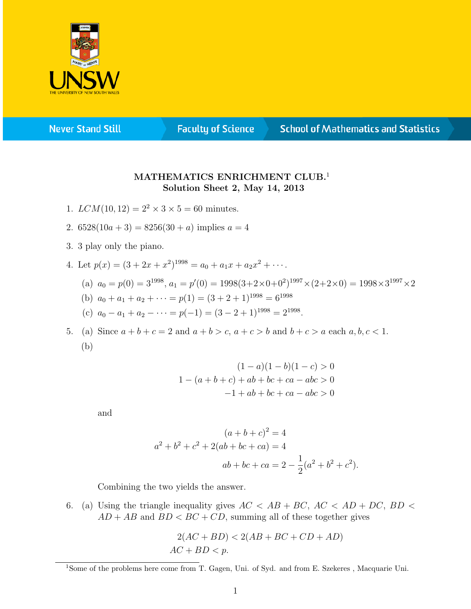

**Never Stand Still** 

**Faculty of Science** 

## **School of Mathematics and Statistics**

## MATHEMATICS ENRICHMENT CLUB.<sup>1</sup> Solution Sheet 2, May 14, 2013

- 1.  $LCM(10, 12) = 2^2 \times 3 \times 5 = 60$  minutes.
- 2.  $6528(10a+3) = 8256(30 + a)$  implies  $a = 4$
- 3. 3 play only the piano.
- 4. Let  $p(x) = (3 + 2x + x^2)^{1998} = a_0 + a_1x + a_2x^2 + \cdots$

(a) 
$$
a_0 = p(0) = 3^{1998}, a_1 = p'(0) = 1998(3+2\times0+0^2)^{1997}\times(2+2\times0) = 1998\times3^{1997}\times2
$$

- (b)  $a_0 + a_1 + a_2 + \cdots = p(1) = (3 + 2 + 1)^{1998} = 6^{1998}$
- (c)  $a_0 a_1 + a_2 \cdots = p(-1) = (3 2 + 1)^{1998} = 2^{1998}.$

5. (a) Since  $a+b+c=2$  and  $a+b>c$ ,  $a+c>b$  and  $b+c>a$  each  $a, b, c < 1$ . (b)

$$
(1 - a)(1 - b)(1 - c) > 0
$$
  
1 - (a + b + c) + ab + bc + ca - abc > 0  
-1 + ab + bc + ca - abc > 0

and

$$
(a+b+c)^2 = 4
$$
  

$$
a^2 + b^2 + c^2 + 2(ab+bc+ca) = 4
$$
  

$$
ab+bc+ca = 2 - \frac{1}{2}(a^2 + b^2 + c^2).
$$

Combining the two yields the answer.

6. (a) Using the triangle inequality gives  $AC < AB + BC$ ,  $AC < AD + DC$ ,  $BD <$  $AD + AB$  and  $BD < BC + CD$ , summing all of these together gives

$$
2(AC + BD) < 2(AB + BC + CD + AD)
$$
\n
$$
AC + BD < p.
$$

<sup>&</sup>lt;sup>1</sup>Some of the problems here come from T. Gagen, Uni. of Syd. and from E. Szekeres, Macquarie Uni.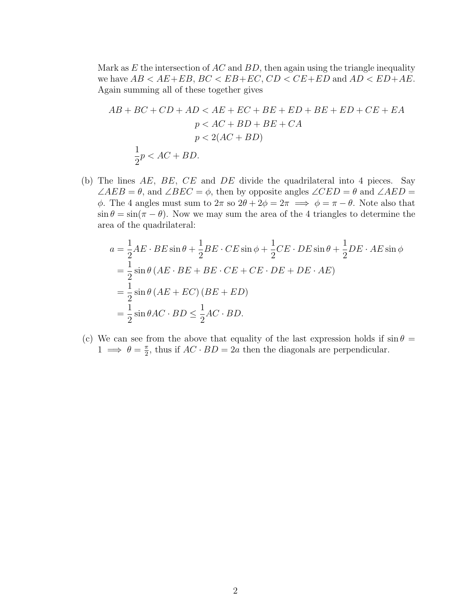Mark as  $E$  the intersection of  $AC$  and  $BD$ , then again using the triangle inequality we have  $AB < AE + EB$ ,  $BC < EB + EC$ ,  $CD < CE + ED$  and  $AD < ED + AE$ . Again summing all of these together gives

$$
AB + BC + CD + AD < AE + EC + BE + ED + BE + ED + CE + EA
$$
  
\n
$$
p < AC + BD + BE + CA
$$
  
\n
$$
p < 2(AC + BD)
$$
  
\n
$$
\frac{1}{2}p < AC + BD.
$$

(b) The lines  $AE$ ,  $BE$ ,  $CE$  and  $DE$  divide the quadrilateral into 4 pieces. Say  $\angle AEB = \theta$ , and  $\angle BEC = \phi$ , then by opposite angles  $\angle CED = \theta$  and  $\angle AED = \theta$ φ. The 4 angles must sum to  $2\pi$  so  $2\theta + 2\phi = 2\pi \implies \phi = \pi - \theta$ . Note also that  $\sin \theta = \sin(\pi - \theta)$ . Now we may sum the area of the 4 triangles to determine the area of the quadrilateral:

$$
a = \frac{1}{2}AE \cdot BE \sin \theta + \frac{1}{2}BE \cdot CE \sin \phi + \frac{1}{2}CE \cdot DE \sin \theta + \frac{1}{2}DE \cdot AE \sin \phi
$$
  
=  $\frac{1}{2} \sin \theta (AE \cdot BE + BE \cdot CE + CE \cdot DE + DE \cdot AE)$   
=  $\frac{1}{2} \sin \theta (AE + EC) (BE + ED)$   
=  $\frac{1}{2} \sin \theta AC \cdot BD \le \frac{1}{2}AC \cdot BD$ .

(c) We can see from the above that equality of the last expression holds if  $\sin \theta =$  $1 \implies \theta = \frac{\pi}{2}$  $\frac{\pi}{2}$ , thus if  $AC \cdot BD = 2a$  then the diagonals are perpendicular.